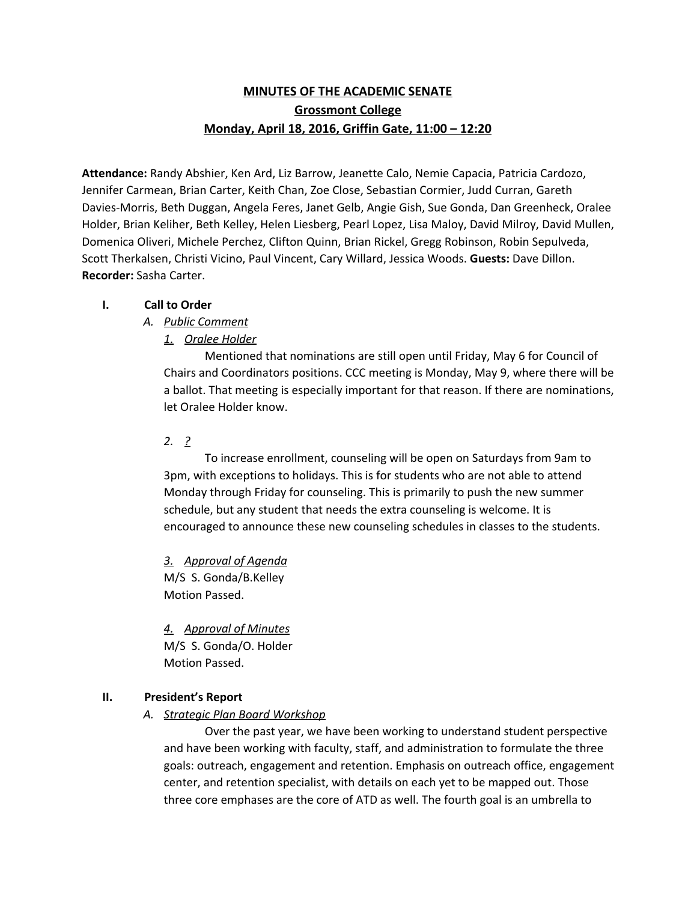# **MINUTES OF THE ACADEMIC SENATE Grossmont College Monday, April 18, 2016, Griffin Gate, 11:00 – 12:20**

**Attendance:** Randy Abshier, Ken Ard, Liz Barrow, Jeanette Calo, Nemie Capacia, Patricia Cardozo, Jennifer Carmean, Brian Carter, Keith Chan, Zoe Close, Sebastian Cormier, Judd Curran, Gareth Davies-Morris, Beth Duggan, Angela Feres, Janet Gelb, Angie Gish, Sue Gonda, Dan Greenheck, Oralee Holder, Brian Keliher, Beth Kelley, Helen Liesberg, Pearl Lopez, Lisa Maloy, David Milroy, David Mullen, Domenica Oliveri, Michele Perchez, Clifton Quinn, Brian Rickel, Gregg Robinson, Robin Sepulveda, Scott Therkalsen, Christi Vicino, Paul Vincent, Cary Willard, Jessica Woods. **Guests:** Dave Dillon. **Recorder:** Sasha Carter.

## **I. Call to Order**

# *A. Public Comment*

# *1. Oralee Holder*

Mentioned that nominations are still open until Friday, May 6 for Council of Chairs and Coordinators positions. CCC meeting is Monday, May 9, where there will be a ballot. That meeting is especially important for that reason. If there are nominations, let Oralee Holder know.

# *2. ?*

To increase enrollment, counseling will be open on Saturdays from 9am to 3pm, with exceptions to holidays. This is for students who are not able to attend Monday through Friday for counseling. This is primarily to push the new summer schedule, but any student that needs the extra counseling is welcome. It is encouraged to announce these new counseling schedules in classes to the students.

*3. Approval of Agenda* M/S S. Gonda/B.Kelley Motion Passed.

*4. Approval of Minutes* M/S S. Gonda/O. Holder Motion Passed.

# **II. President's Report**

# *A. Strategic Plan Board Workshop*

Over the past year, we have been working to understand student perspective and have been working with faculty, staff, and administration to formulate the three goals: outreach, engagement and retention. Emphasis on outreach office, engagement center, and retention specialist, with details on each yet to be mapped out. Those three core emphases are the core of ATD as well. The fourth goal is an umbrella to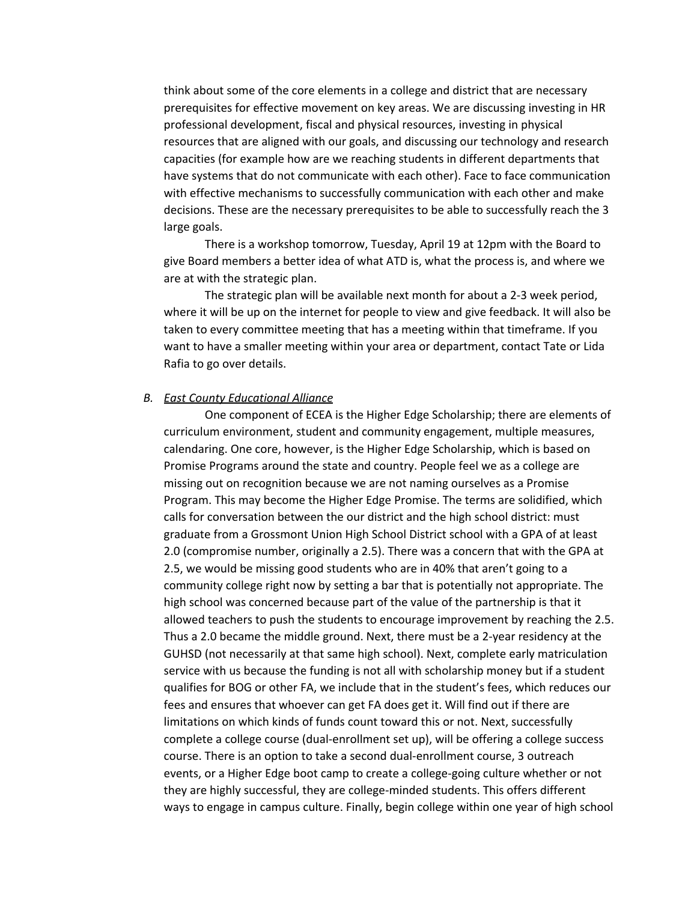think about some of the core elements in a college and district that are necessary prerequisites for effective movement on key areas. We are discussing investing in HR professional development, fiscal and physical resources, investing in physical resources that are aligned with our goals, and discussing our technology and research capacities (for example how are we reaching students in different departments that have systems that do not communicate with each other). Face to face communication with effective mechanisms to successfully communication with each other and make decisions. These are the necessary prerequisites to be able to successfully reach the 3 large goals.

There is a workshop tomorrow, Tuesday, April 19 at 12pm with the Board to give Board members a better idea of what ATD is, what the process is, and where we are at with the strategic plan.

The strategic plan will be available next month for about a 2-3 week period, where it will be up on the internet for people to view and give feedback. It will also be taken to every committee meeting that has a meeting within that timeframe. If you want to have a smaller meeting within your area or department, contact Tate or Lida Rafia to go over details.

#### *B. East County Educational Alliance*

One component of ECEA is the Higher Edge Scholarship; there are elements of curriculum environment, student and community engagement, multiple measures, calendaring. One core, however, is the Higher Edge Scholarship, which is based on Promise Programs around the state and country. People feel we as a college are missing out on recognition because we are not naming ourselves as a Promise Program. This may become the Higher Edge Promise. The terms are solidified, which calls for conversation between the our district and the high school district: must graduate from a Grossmont Union High School District school with a GPA of at least 2.0 (compromise number, originally a 2.5). There was a concern that with the GPA at 2.5, we would be missing good students who are in 40% that aren't going to a community college right now by setting a bar that is potentially not appropriate. The high school was concerned because part of the value of the partnership is that it allowed teachers to push the students to encourage improvement by reaching the 2.5. Thus a 2.0 became the middle ground. Next, there must be a 2-year residency at the GUHSD (not necessarily at that same high school). Next, complete early matriculation service with us because the funding is not all with scholarship money but if a student qualifies for BOG or other FA, we include that in the student's fees, which reduces our fees and ensures that whoever can get FA does get it. Will find out if there are limitations on which kinds of funds count toward this or not. Next, successfully complete a college course (dual-enrollment set up), will be offering a college success course. There is an option to take a second dual-enrollment course, 3 outreach events, or a Higher Edge boot camp to create a college-going culture whether or not they are highly successful, they are college-minded students. This offers different ways to engage in campus culture. Finally, begin college within one year of high school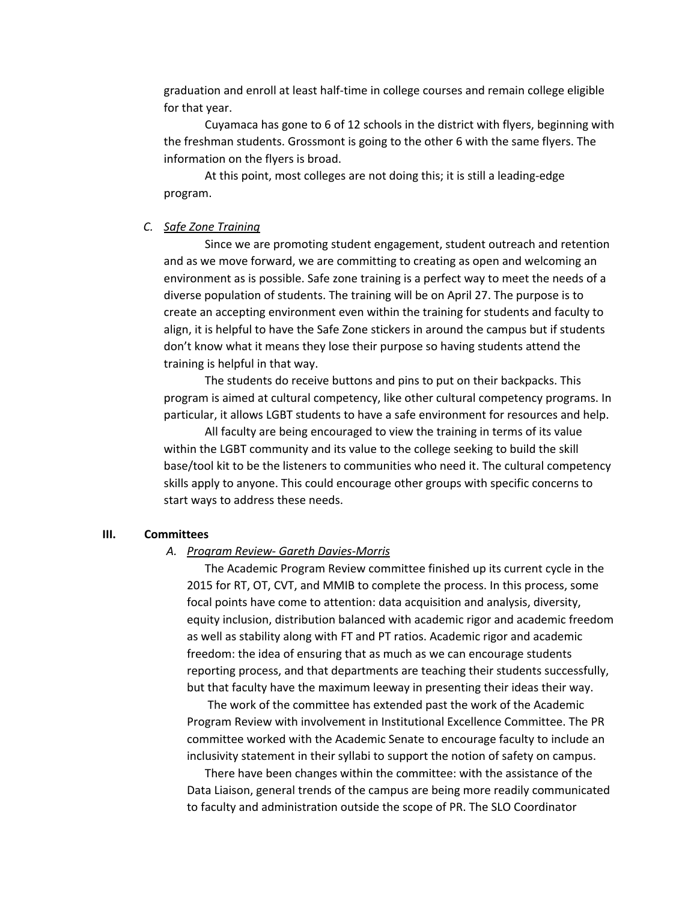graduation and enroll at least half-time in college courses and remain college eligible for that year.

Cuyamaca has gone to 6 of 12 schools in the district with flyers, beginning with the freshman students. Grossmont is going to the other 6 with the same flyers. The information on the flyers is broad.

At this point, most colleges are not doing this; it is still a leading-edge program.

## *C. Safe Zone Training*

Since we are promoting student engagement, student outreach and retention and as we move forward, we are committing to creating as open and welcoming an environment as is possible. Safe zone training is a perfect way to meet the needs of a diverse population of students. The training will be on April 27. The purpose is to create an accepting environment even within the training for students and faculty to align, it is helpful to have the Safe Zone stickers in around the campus but if students don't know what it means they lose their purpose so having students attend the training is helpful in that way.

The students do receive buttons and pins to put on their backpacks. This program is aimed at cultural competency, like other cultural competency programs. In particular, it allows LGBT students to have a safe environment for resources and help.

All faculty are being encouraged to view the training in terms of its value within the LGBT community and its value to the college seeking to build the skill base/tool kit to be the listeners to communities who need it. The cultural competency skills apply to anyone. This could encourage other groups with specific concerns to start ways to address these needs.

## **III. Committees**

#### A. *Program Review- Gareth Davies-Morris*

The Academic Program Review committee finished up its current cycle in the 2015 for RT, OT, CVT, and MMIB to complete the process. In this process, some focal points have come to attention: data acquisition and analysis, diversity, equity inclusion, distribution balanced with academic rigor and academic freedom as well as stability along with FT and PT ratios. Academic rigor and academic freedom: the idea of ensuring that as much as we can encourage students reporting process, and that departments are teaching their students successfully, but that faculty have the maximum leeway in presenting their ideas their way.

The work of the committee has extended past the work of the Academic Program Review with involvement in Institutional Excellence Committee. The PR committee worked with the Academic Senate to encourage faculty to include an inclusivity statement in their syllabi to support the notion of safety on campus.

There have been changes within the committee: with the assistance of the Data Liaison, general trends of the campus are being more readily communicated to faculty and administration outside the scope of PR. The SLO Coordinator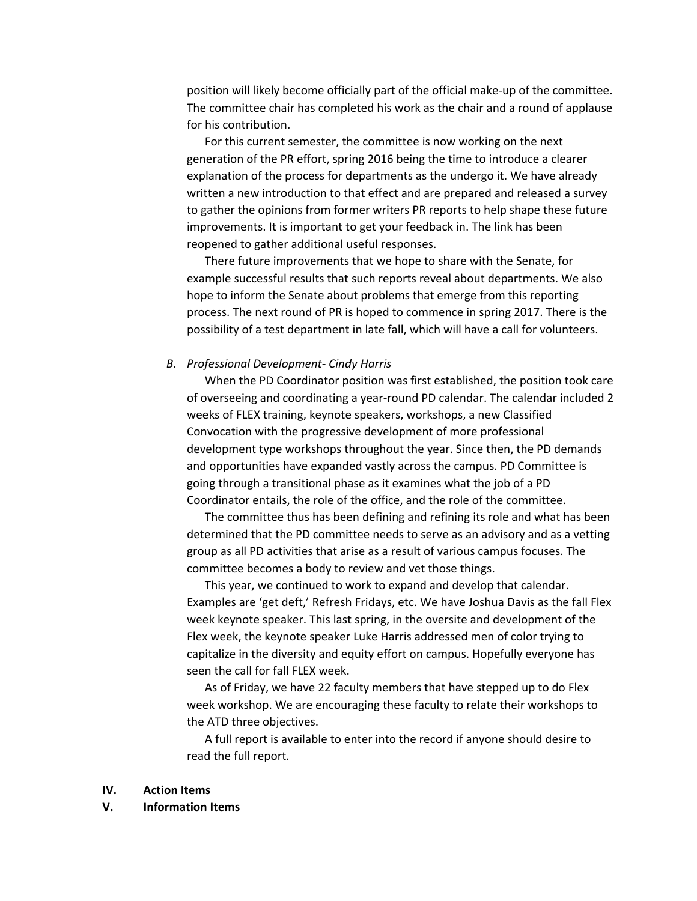position will likely become officially part of the official make-up of the committee. The committee chair has completed his work as the chair and a round of applause for his contribution.

For this current semester, the committee is now working on the next generation of the PR effort, spring 2016 being the time to introduce a clearer explanation of the process for departments as the undergo it. We have already written a new introduction to that effect and are prepared and released a survey to gather the opinions from former writers PR reports to help shape these future improvements. It is important to get your feedback in. The link has been reopened to gather additional useful responses.

There future improvements that we hope to share with the Senate, for example successful results that such reports reveal about departments. We also hope to inform the Senate about problems that emerge from this reporting process. The next round of PR is hoped to commence in spring 2017. There is the possibility of a test department in late fall, which will have a call for volunteers.

## *B. Professional Development Cindy Harris*

When the PD Coordinator position was first established, the position took care of overseeing and coordinating a year-round PD calendar. The calendar included 2 weeks of FLEX training, keynote speakers, workshops, a new Classified Convocation with the progressive development of more professional development type workshops throughout the year. Since then, the PD demands and opportunities have expanded vastly across the campus. PD Committee is going through a transitional phase as it examines what the job of a PD Coordinator entails, the role of the office, and the role of the committee.

The committee thus has been defining and refining its role and what has been determined that the PD committee needs to serve as an advisory and as a vetting group as all PD activities that arise as a result of various campus focuses. The committee becomes a body to review and vet those things.

This year, we continued to work to expand and develop that calendar. Examples are 'get deft,' Refresh Fridays, etc. We have Joshua Davis as the fall Flex week keynote speaker. This last spring, in the oversite and development of the Flex week, the keynote speaker Luke Harris addressed men of color trying to capitalize in the diversity and equity effort on campus. Hopefully everyone has seen the call for fall FLEX week.

As of Friday, we have 22 faculty members that have stepped up to do Flex week workshop. We are encouraging these faculty to relate their workshops to the ATD three objectives.

A full report is available to enter into the record if anyone should desire to read the full report.

#### **IV. Action Items**

#### **V. Information Items**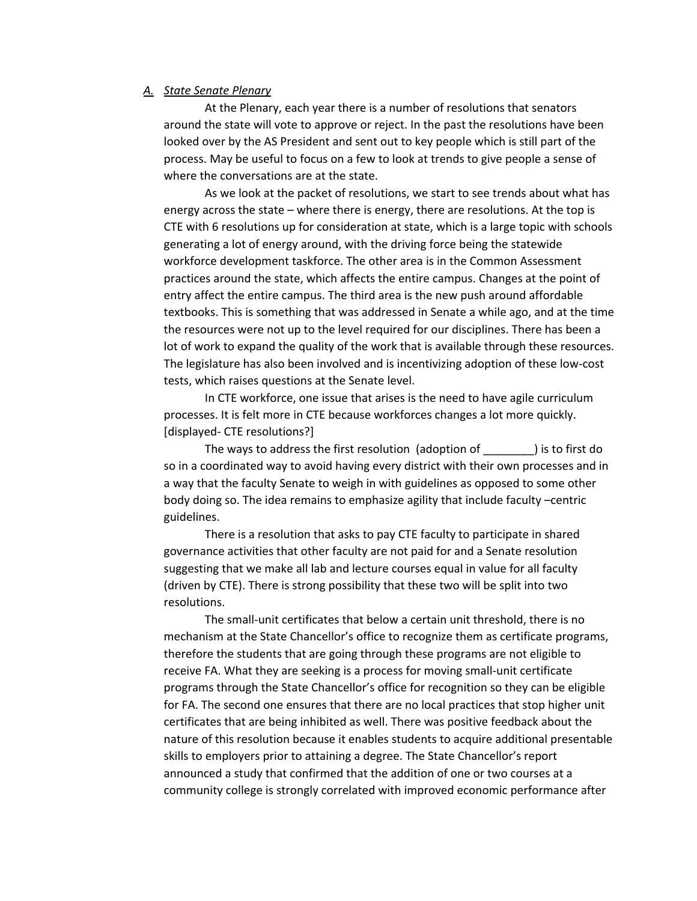### *A. State Senate Plenary*

At the Plenary, each year there is a number of resolutions that senators around the state will vote to approve or reject. In the past the resolutions have been looked over by the AS President and sent out to key people which is still part of the process. May be useful to focus on a few to look at trends to give people a sense of where the conversations are at the state.

As we look at the packet of resolutions, we start to see trends about what has energy across the state – where there is energy, there are resolutions. At the top is CTE with 6 resolutions up for consideration at state, which is a large topic with schools generating a lot of energy around, with the driving force being the statewide workforce development taskforce. The other area is in the Common Assessment practices around the state, which affects the entire campus. Changes at the point of entry affect the entire campus. The third area is the new push around affordable textbooks. This is something that was addressed in Senate a while ago, and at the time the resources were not up to the level required for our disciplines. There has been a lot of work to expand the quality of the work that is available through these resources. The legislature has also been involved and is incentivizing adoption of these lowcost tests, which raises questions at the Senate level.

In CTE workforce, one issue that arises is the need to have agile curriculum processes. It is felt more in CTE because workforces changes a lot more quickly. [displayed- CTE resolutions?]

The ways to address the first resolution (adoption of \_\_\_\_\_\_\_\_) is to first do so in a coordinated way to avoid having every district with their own processes and in a way that the faculty Senate to weigh in with guidelines as opposed to some other body doing so. The idea remains to emphasize agility that include faculty –centric guidelines.

There is a resolution that asks to pay CTE faculty to participate in shared governance activities that other faculty are not paid for and a Senate resolution suggesting that we make all lab and lecture courses equal in value for all faculty (driven by CTE). There is strong possibility that these two will be split into two resolutions.

The small-unit certificates that below a certain unit threshold, there is no mechanism at the State Chancellor's office to recognize them as certificate programs, therefore the students that are going through these programs are not eligible to receive FA. What they are seeking is a process for moving small-unit certificate programs through the State Chancellor's office for recognition so they can be eligible for FA. The second one ensures that there are no local practices that stop higher unit certificates that are being inhibited as well. There was positive feedback about the nature of this resolution because it enables students to acquire additional presentable skills to employers prior to attaining a degree. The State Chancellor's report announced a study that confirmed that the addition of one or two courses at a community college is strongly correlated with improved economic performance after